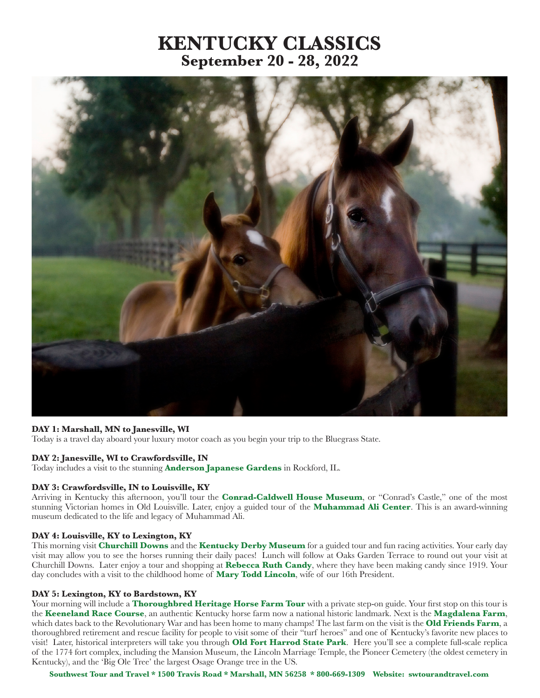# **KENTUCKY CLASSICS September 20 - 28, 2022**



## **DAY 1: Marshall, MN to Janesville, WI**

Today is a travel day aboard your luxury motor coach as you begin your trip to the Bluegrass State.

## **DAY 2: Janesville, WI to Crawfordsville, IN**

Today includes a visit to the stunning **Anderson Japanese Gardens** in Rockford, IL.

#### **DAY 3: Crawfordsville, IN to Louisville, KY**

Arriving in Kentucky this afternoon, you'll tour the **Conrad-Caldwell House Museum**, or "Conrad's Castle," one of the most stunning Victorian homes in Old Louisville. Later, enjoy a guided tour of the **Muhammad Ali Center**. This is an award-winning museum dedicated to the life and legacy of Muhammad Ali.

# **DAY 4: Louisville, KY to Lexington, KY**

This morning visit **Churchill Downs** and the **Kentucky Derby Museum** for a guided tour and fun racing activities. Your early day visit may allow you to see the horses running their daily paces! Lunch will follow at Oaks Garden Terrace to round out your visit at Churchill Downs. Later enjoy a tour and shopping at **Rebecca Ruth Candy**, where they have been making candy since 1919. Your day concludes with a visit to the childhood home of **Mary Todd Lincoln**, wife of our 16th President.

#### **DAY 5: Lexington, KY to Bardstown, KY**

Your morning will include a **Thoroughbred Heritage Horse Farm Tour** with a private step-on guide. Your first stop on this tour is the **Keeneland Race Course**, an authentic Kentucky horse farm now a national historic landmark. Next is the **Magdalena Farm**, which dates back to the Revolutionary War and has been home to many champs! The last farm on the visit is the **Old Friends Farm**, a thoroughbred retirement and rescue facility for people to visit some of their "turf heroes" and one of Kentucky's favorite new places to visit! Later, historical interpreters will take you through **Old Fort Harrod State Park**. Here you'll see a complete full-scale replica of the 1774 fort complex, including the Mansion Museum, the Lincoln Marriage Temple, the Pioneer Cemetery (the oldest cemetery in Kentucky), and the 'Big Ole Tree' the largest Osage Orange tree in the US.

**Southwest Tour and Travel \* 1500 Travis Road \* Marshall, MN 56258 \* 800-669-1309 Website: swtourandtravel.com**